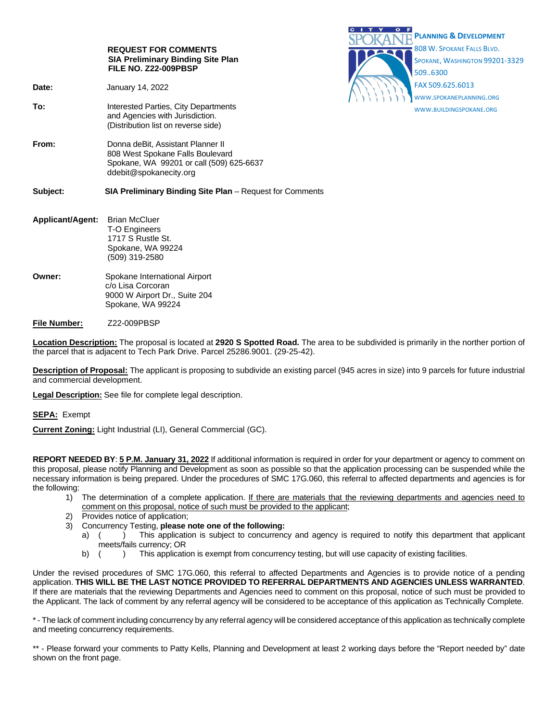|                         | <b>REQUEST FOR COMMENTS</b><br><b>SIA Preliminary Binding Site Plan</b><br>FILE NO. Z22-009PBSP                                             | <b>PLANNING &amp; DEVELOPMENT</b><br>808 W. SPOKANE FALLS BLVD.<br>SPOKANE, WASHINGTON 99201-3329<br>5096300 |
|-------------------------|---------------------------------------------------------------------------------------------------------------------------------------------|--------------------------------------------------------------------------------------------------------------|
| Date:                   | January 14, 2022                                                                                                                            | FAX 509.625.6013<br>WWW.SPOKANEPLANNING.ORG                                                                  |
| To:                     | Interested Parties, City Departments<br>and Agencies with Jurisdiction.<br>(Distribution list on reverse side)                              | WWW.BUILDINGSPOKANE.ORG                                                                                      |
| From:                   | Donna deBit, Assistant Planner II<br>808 West Spokane Falls Boulevard<br>Spokane, WA 99201 or call (509) 625-6637<br>ddebit@spokanecity.org |                                                                                                              |
| Subject:                | <b>SIA Preliminary Binding Site Plan</b> – Request for Comments                                                                             |                                                                                                              |
| <b>Applicant/Agent:</b> | <b>Brian McCluer</b><br><b>T-O Engineers</b><br>1717 S Rustle St.<br>Spokane, WA 99224<br>(509) 319-2580                                    |                                                                                                              |
| Owner:                  | Spokane International Airport<br>c/o Lisa Corcoran<br>9000 W Airport Dr., Suite 204<br>Spokane, WA 99224                                    |                                                                                                              |
| <b>File Number:</b>     | Z22-009PBSP                                                                                                                                 |                                                                                                              |

CITY OF

**Location Description:** The proposal is located at **2920 S Spotted Road.** The area to be subdivided is primarily in the norther portion of

the parcel that is adjacent to Tech Park Drive. Parcel 25286.9001. (29-25-42).

**Description of Proposal:** The applicant is proposing to subdivide an existing parcel (945 acres in size) into 9 parcels for future industrial and commercial development.

**Legal Description:** See file for complete legal description.

**SEPA:** Exempt

**Current Zoning:** Light Industrial (LI), General Commercial (GC).

**REPORT NEEDED BY**: **5 P.M. January 31, 2022** If additional information is required in order for your department or agency to comment on this proposal, please notify Planning and Development as soon as possible so that the application processing can be suspended while the necessary information is being prepared. Under the procedures of SMC 17G.060, this referral to affected departments and agencies is for the following:

- 1) The determination of a complete application. If there are materials that the reviewing departments and agencies need to comment on this proposal, notice of such must be provided to the applicant;
- 2) Provides notice of application;<br>3) Concurrency Testing. **please** r
	- 3) Concurrency Testing, **please note one of the following:**
		- a) ( ) This application is subject to concurrency and agency is required to notify this department that applicant meets/fails currency; OR
		- b) ( ) This application is exempt from concurrency testing, but will use capacity of existing facilities.

Under the revised procedures of SMC 17G.060, this referral to affected Departments and Agencies is to provide notice of a pending application. **THIS WILL BE THE LAST NOTICE PROVIDED TO REFERRAL DEPARTMENTS AND AGENCIES UNLESS WARRANTED**. If there are materials that the reviewing Departments and Agencies need to comment on this proposal, notice of such must be provided to the Applicant. The lack of comment by any referral agency will be considered to be acceptance of this application as Technically Complete.

\* - The lack of comment including concurrency by any referral agency will be considered acceptance of this application as technically complete and meeting concurrency requirements.

\*\* - Please forward your comments to Patty Kells, Planning and Development at least 2 working days before the "Report needed by" date shown on the front page.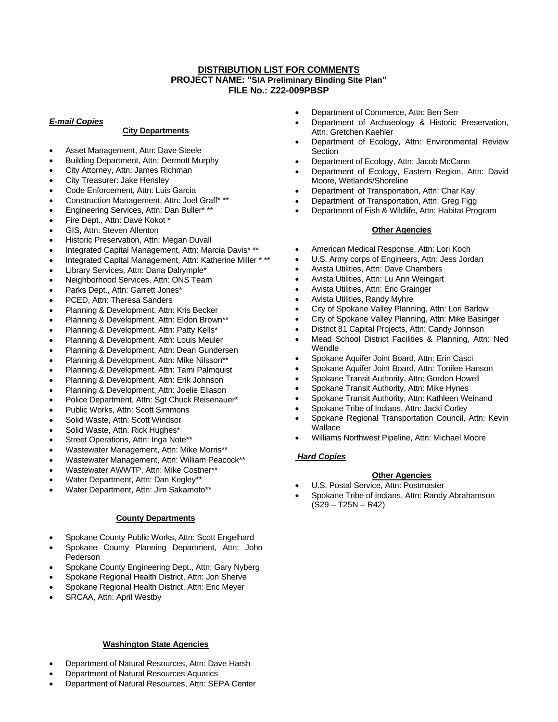# **DISTRIBUTION LIST FOR COMMENTS PROJECT NAME: "SIA Preliminary Binding Site Plan" FILE No.: Z22-009PBSP**

### *E-mail Copies*

## **City Departments**

- Asset Management, Attn: Dave Steele
- Building Department, Attn: Dermott Murphy
- City Attorney, Attn: James Richman
- City Treasurer: Jake Hensley
- Code Enforcement, Attn: Luis Garcia
- Construction Management, Attn: Joel Graff\* \*\*
- Engineering Services, Attn: Dan Buller\* \*\*
- Fire Dept., Attn: Dave Kokot \*
- GIS, Attn: Steven Allenton
- Historic Preservation, Attn: Megan Duvall
- Integrated Capital Management, Attn: Marcia Davis\* \*\*
- Integrated Capital Management, Attn: Katherine Miller \* \*\*
- Library Services, Attn: Dana Dalrymple\*
- Neighborhood Services, Attn: ONS Team
- Parks Dept., Attn: Garrett Jones\*
- PCED, Attn: Theresa Sanders
- Planning & Development, Attn: Kris Becker
- Planning & Development, Attn: Eldon Brown\*\*
- Planning & Development, Attn: Patty Kells\*
- Planning & Development, Attn: Louis Meuler
- Planning & Development, Attn: Dean Gundersen
- Planning & Development, Attn: Mike Nilsson\*\*
- Planning & Development, Attn: Tami Palmquist
- Planning & Development, Attn: Erik Johnson
- Planning & Development, Attn: Joelie Eliason
- Police Department, Attn: Sgt Chuck Reisenauer\*
- Public Works, Attn: Scott Simmons
- Solid Waste, Attn: Scott Windsor
- Solid Waste, Attn: Rick Hughes\*
- Street Operations, Attn: Inga Note\*\*
- Wastewater Management, Attn: Mike Morris\*\*
- Wastewater Management, Attn: William Peacock\*\*
- Wastewater AWWTP, Attn: Mike Costner\*\*
- Water Department, Attn: Dan Kegley\*\*
- Water Department, Attn: Jim Sakamoto\*\*

### **County Departments**

- Spokane County Public Works, Attn: Scott Engelhard
- Spokane County Planning Department, Attn: John Pederson
- Spokane County Engineering Dept., Attn: Gary Nyberg
- Spokane Regional Health District, Attn: Jon Sherve
- Spokane Regional Health District, Attn: Eric Meyer
- SRCAA, Attn: April Westby

## **Washington State Agencies**

- Department of Natural Resources, Attn: Dave Harsh
- Department of Natural Resources Aquatics
- Department of Natural Resources, Attn: SEPA Center
- Department of Commerce, Attn: Ben Serr
- Department of Archaeology & Historic Preservation, Attn: Gretchen Kaehler
- Department of Ecology, Attn: Environmental Review **Section**
- Department of Ecology, Attn: Jacob McCann
- Department of Ecology, Eastern Region, Attn: David Moore, Wetlands/Shoreline
- Department of Transportation, Attn: Char Kay
- Department of Transportation, Attn: Greg Figg
- Department of Fish & Wildlife, Attn: Habitat Program

### **Other Agencies**

- American Medical Response, Attn: Lori Koch
- U.S. Army corps of Engineers, Attn: Jess Jordan
- Avista Utilities, Attn: Dave Chambers
- Avista Utilities, Attn: Lu Ann Weingart
- Avista Utilities, Attn: Eric Grainger
- Avista Utilities, Randy Myhre
- City of Spokane Valley Planning, Attn: Lori Barlow
- City of Spokane Valley Planning, Attn: Mike Basinger
- District 81 Capital Projects, Attn: Candy Johnson
- Mead School District Facilities & Planning, Attn: Ned Wendle
- Spokane Aquifer Joint Board, Attn: Erin Casci
- Spokane Aquifer Joint Board, Attn: Tonilee Hanson
- Spokane Transit Authority, Attn: Gordon Howell
- Spokane Transit Authority, Attn: Mike Hynes
- Spokane Transit Authority, Attn: Kathleen Weinand
- Spokane Tribe of Indians, Attn: Jacki Corley
- Spokane Regional Transportation Council, Attn: Kevin Wallace
- Williams Northwest Pipeline, Attn: Michael Moore

# *Hard Copies*

### **Other Agencies**

- U.S. Postal Service, Attn: Postmaster
- Spokane Tribe of Indians, Attn: Randy Abrahamson  $(S29 - T25N - R42)$